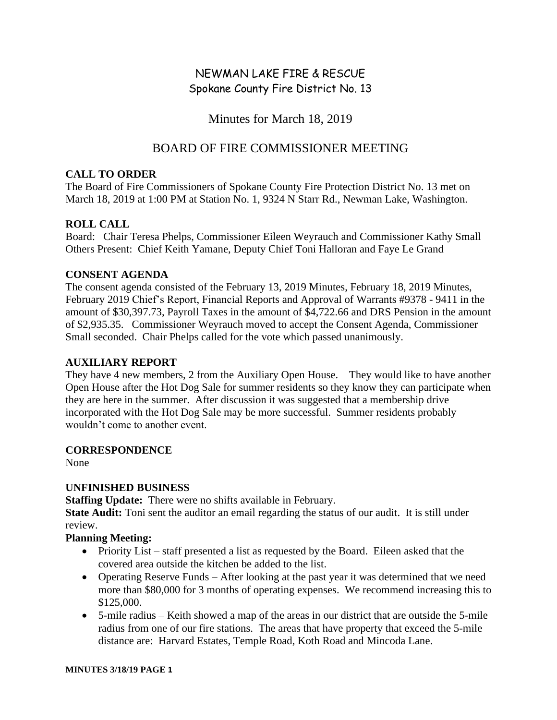# NEWMAN LAKE FIRE & RESCUE Spokane County Fire District No. 13

Minutes for March 18, 2019

# BOARD OF FIRE COMMISSIONER MEETING

#### **CALL TO ORDER**

The Board of Fire Commissioners of Spokane County Fire Protection District No. 13 met on March 18, 2019 at 1:00 PM at Station No. 1, 9324 N Starr Rd., Newman Lake, Washington.

## **ROLL CALL**

Board: Chair Teresa Phelps, Commissioner Eileen Weyrauch and Commissioner Kathy Small Others Present: Chief Keith Yamane, Deputy Chief Toni Halloran and Faye Le Grand

#### **CONSENT AGENDA**

The consent agenda consisted of the February 13, 2019 Minutes, February 18, 2019 Minutes, February 2019 Chief's Report, Financial Reports and Approval of Warrants #9378 - 9411 in the amount of \$30,397.73, Payroll Taxes in the amount of \$4,722.66 and DRS Pension in the amount of \$2,935.35. Commissioner Weyrauch moved to accept the Consent Agenda, Commissioner Small seconded. Chair Phelps called for the vote which passed unanimously.

#### **AUXILIARY REPORT**

They have 4 new members, 2 from the Auxiliary Open House. They would like to have another Open House after the Hot Dog Sale for summer residents so they know they can participate when they are here in the summer. After discussion it was suggested that a membership drive incorporated with the Hot Dog Sale may be more successful. Summer residents probably wouldn't come to another event.

#### **CORRESPONDENCE**

None

## **UNFINISHED BUSINESS**

**Staffing Update:** There were no shifts available in February.

**State Audit:** Toni sent the auditor an email regarding the status of our audit. It is still under review.

## **Planning Meeting:**

- Priority List staff presented a list as requested by the Board. Eileen asked that the covered area outside the kitchen be added to the list.
- Operating Reserve Funds After looking at the past year it was determined that we need more than \$80,000 for 3 months of operating expenses. We recommend increasing this to \$125,000.
- 5-mile radius Keith showed a map of the areas in our district that are outside the 5-mile radius from one of our fire stations. The areas that have property that exceed the 5-mile distance are: Harvard Estates, Temple Road, Koth Road and Mincoda Lane.